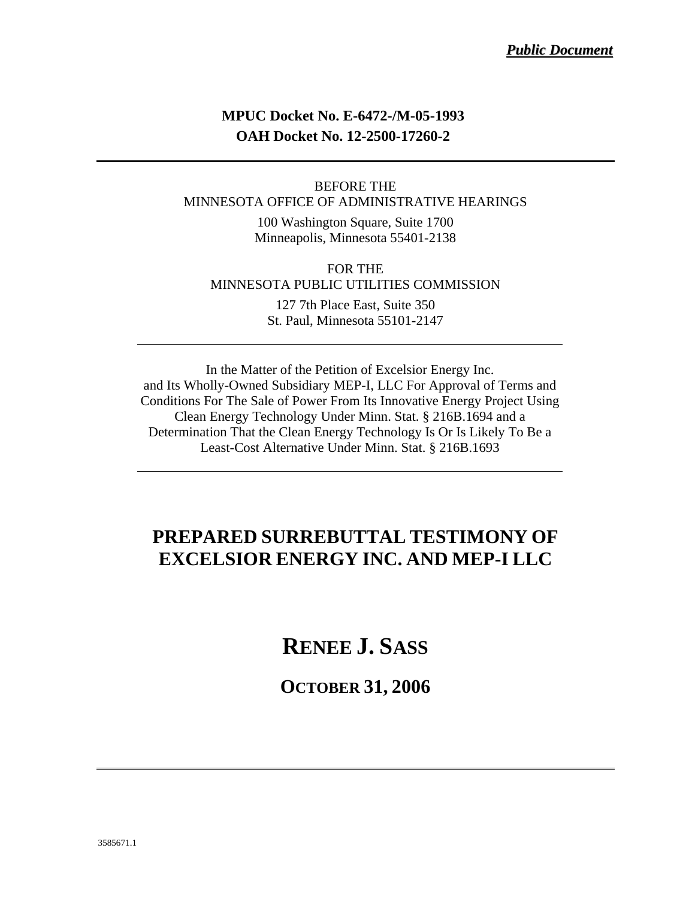### **MPUC Docket No. E-6472-/M-05-1993 OAH Docket No. 12-2500-17260-2**

### BEFORE THE MINNESOTA OFFICE OF ADMINISTRATIVE HEARINGS

100 Washington Square, Suite 1700 Minneapolis, Minnesota 55401-2138

#### FOR THE MINNESOTA PUBLIC UTILITIES COMMISSION

127 7th Place East, Suite 350 St. Paul, Minnesota 55101-2147

In the Matter of the Petition of Excelsior Energy Inc. and Its Wholly-Owned Subsidiary MEP-I, LLC For Approval of Terms and Conditions For The Sale of Power From Its Innovative Energy Project Using Clean Energy Technology Under Minn. Stat. § 216B.1694 and a Determination That the Clean Energy Technology Is Or Is Likely To Be a Least-Cost Alternative Under Minn. Stat. § 216B.1693

### **PREPARED SURREBUTTAL TESTIMONY OF EXCELSIOR ENERGY INC. AND MEP-I LLC**

## **RENEE J. SASS**

### **OCTOBER 31, 2006**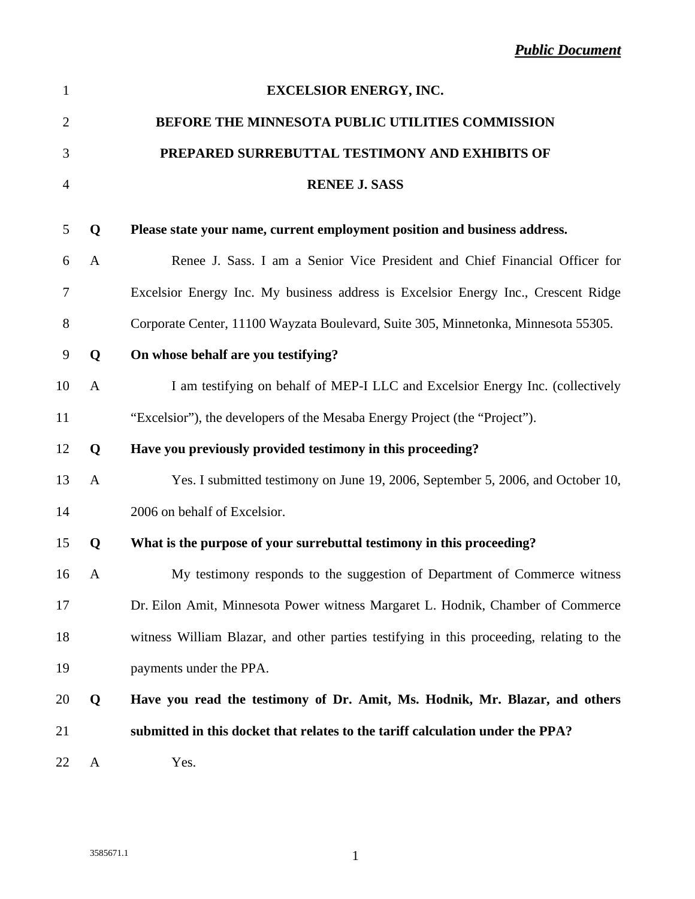| $\mathbf{1}$   |              | <b>EXCELSIOR ENERGY, INC.</b>                                                            |
|----------------|--------------|------------------------------------------------------------------------------------------|
| $\overline{2}$ |              | BEFORE THE MINNESOTA PUBLIC UTILITIES COMMISSION                                         |
| 3              |              | PREPARED SURREBUTTAL TESTIMONY AND EXHIBITS OF                                           |
| $\overline{4}$ |              | <b>RENEE J. SASS</b>                                                                     |
| 5              | Q            | Please state your name, current employment position and business address.                |
| 6              | $\mathbf{A}$ | Renee J. Sass. I am a Senior Vice President and Chief Financial Officer for              |
| 7              |              | Excelsior Energy Inc. My business address is Excelsior Energy Inc., Crescent Ridge       |
| 8              |              | Corporate Center, 11100 Wayzata Boulevard, Suite 305, Minnetonka, Minnesota 55305.       |
| 9              | Q            | On whose behalf are you testifying?                                                      |
| 10             | $\mathbf{A}$ | I am testifying on behalf of MEP-I LLC and Excelsior Energy Inc. (collectively           |
| 11             |              | "Excelsior"), the developers of the Mesaba Energy Project (the "Project").               |
| 12             | Q            | Have you previously provided testimony in this proceeding?                               |
| 13             | $\mathbf{A}$ | Yes. I submitted testimony on June 19, 2006, September 5, 2006, and October 10,          |
| 14             |              | 2006 on behalf of Excelsior.                                                             |
| 15             | Q            | What is the purpose of your surrebuttal testimony in this proceeding?                    |
| 16             | A            | My testimony responds to the suggestion of Department of Commerce witness                |
| 17             |              | Dr. Eilon Amit, Minnesota Power witness Margaret L. Hodnik, Chamber of Commerce          |
| 18             |              | witness William Blazar, and other parties testifying in this proceeding, relating to the |
| 19             |              | payments under the PPA.                                                                  |
| 20             | Q            | Have you read the testimony of Dr. Amit, Ms. Hodnik, Mr. Blazar, and others              |
| 21             |              | submitted in this docket that relates to the tariff calculation under the PPA?           |
| 22             | A            | Yes.                                                                                     |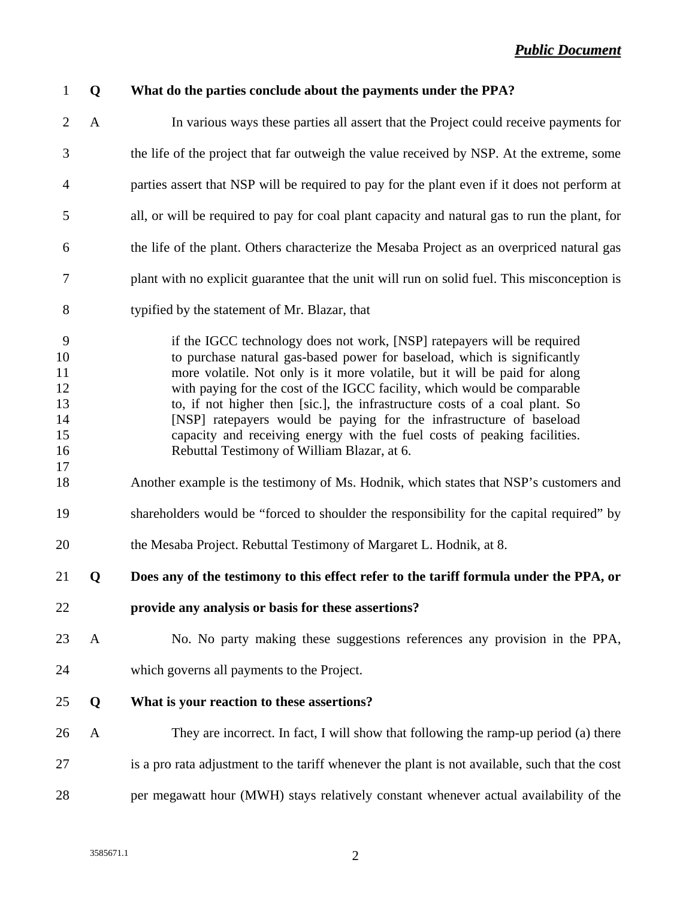| $\mathbf{1}$                                      | Q            | What do the parties conclude about the payments under the PPA?                                                                                                                                                                                                                                                                                                                                                                                                                                                                                                                                 |
|---------------------------------------------------|--------------|------------------------------------------------------------------------------------------------------------------------------------------------------------------------------------------------------------------------------------------------------------------------------------------------------------------------------------------------------------------------------------------------------------------------------------------------------------------------------------------------------------------------------------------------------------------------------------------------|
| 2                                                 | A            | In various ways these parties all assert that the Project could receive payments for                                                                                                                                                                                                                                                                                                                                                                                                                                                                                                           |
| 3                                                 |              | the life of the project that far outweigh the value received by NSP. At the extreme, some                                                                                                                                                                                                                                                                                                                                                                                                                                                                                                      |
| $\overline{4}$                                    |              | parties assert that NSP will be required to pay for the plant even if it does not perform at                                                                                                                                                                                                                                                                                                                                                                                                                                                                                                   |
| 5                                                 |              | all, or will be required to pay for coal plant capacity and natural gas to run the plant, for                                                                                                                                                                                                                                                                                                                                                                                                                                                                                                  |
| 6                                                 |              | the life of the plant. Others characterize the Mesaba Project as an overpriced natural gas                                                                                                                                                                                                                                                                                                                                                                                                                                                                                                     |
| 7                                                 |              | plant with no explicit guarantee that the unit will run on solid fuel. This misconception is                                                                                                                                                                                                                                                                                                                                                                                                                                                                                                   |
| 8                                                 |              | typified by the statement of Mr. Blazar, that                                                                                                                                                                                                                                                                                                                                                                                                                                                                                                                                                  |
| 9<br>10<br>11<br>12<br>13<br>14<br>15<br>16<br>17 |              | if the IGCC technology does not work, [NSP] ratepayers will be required<br>to purchase natural gas-based power for baseload, which is significantly<br>more volatile. Not only is it more volatile, but it will be paid for along<br>with paying for the cost of the IGCC facility, which would be comparable<br>to, if not higher then [sic.], the infrastructure costs of a coal plant. So<br>[NSP] ratepayers would be paying for the infrastructure of baseload<br>capacity and receiving energy with the fuel costs of peaking facilities.<br>Rebuttal Testimony of William Blazar, at 6. |
| 18                                                |              | Another example is the testimony of Ms. Hodnik, which states that NSP's customers and                                                                                                                                                                                                                                                                                                                                                                                                                                                                                                          |
| 19                                                |              | shareholders would be "forced to shoulder the responsibility for the capital required" by                                                                                                                                                                                                                                                                                                                                                                                                                                                                                                      |
| 20                                                |              | the Mesaba Project. Rebuttal Testimony of Margaret L. Hodnik, at 8.                                                                                                                                                                                                                                                                                                                                                                                                                                                                                                                            |
| 21                                                | Q            | Does any of the testimony to this effect refer to the tariff formula under the PPA, or                                                                                                                                                                                                                                                                                                                                                                                                                                                                                                         |
| 22                                                |              | provide any analysis or basis for these assertions?                                                                                                                                                                                                                                                                                                                                                                                                                                                                                                                                            |
| 23                                                | A            | No. No party making these suggestions references any provision in the PPA,                                                                                                                                                                                                                                                                                                                                                                                                                                                                                                                     |
| 24                                                |              | which governs all payments to the Project.                                                                                                                                                                                                                                                                                                                                                                                                                                                                                                                                                     |
| 25                                                | Q            | What is your reaction to these assertions?                                                                                                                                                                                                                                                                                                                                                                                                                                                                                                                                                     |
| 26                                                | $\mathbf{A}$ | They are incorrect. In fact, I will show that following the ramp-up period (a) there                                                                                                                                                                                                                                                                                                                                                                                                                                                                                                           |
| 27                                                |              | is a pro rata adjustment to the tariff whenever the plant is not available, such that the cost                                                                                                                                                                                                                                                                                                                                                                                                                                                                                                 |
| 28                                                |              | per megawatt hour (MWH) stays relatively constant whenever actual availability of the                                                                                                                                                                                                                                                                                                                                                                                                                                                                                                          |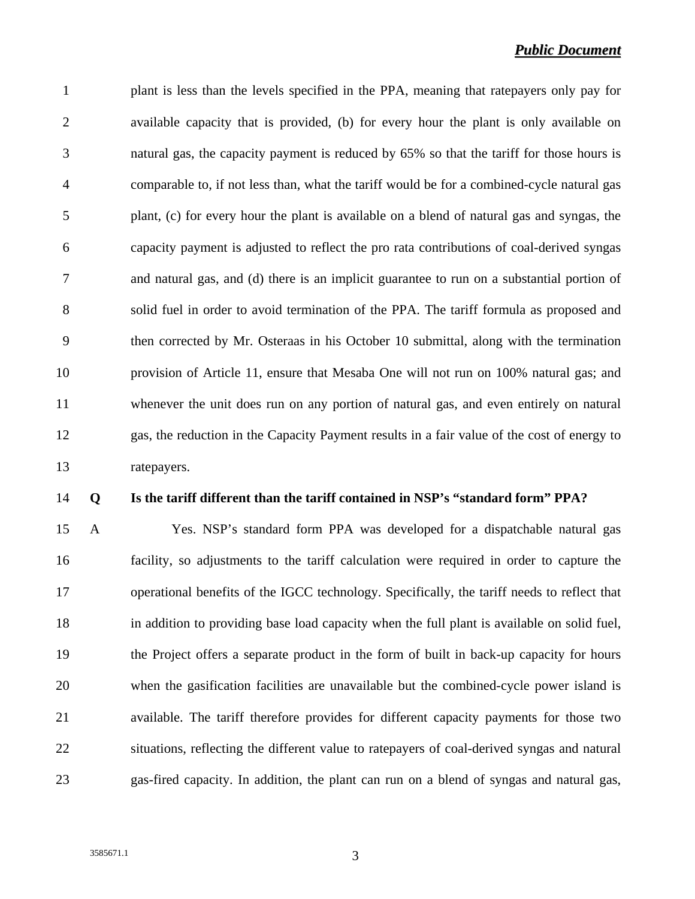1 plant is less than the levels specified in the PPA, meaning that ratepayers only pay for 2 available capacity that is provided, (b) for every hour the plant is only available on 3 natural gas, the capacity payment is reduced by 65% so that the tariff for those hours is 4 comparable to, if not less than, what the tariff would be for a combined-cycle natural gas 5 plant, (c) for every hour the plant is available on a blend of natural gas and syngas, the 6 capacity payment is adjusted to reflect the pro rata contributions of coal-derived syngas 7 and natural gas, and (d) there is an implicit guarantee to run on a substantial portion of 8 solid fuel in order to avoid termination of the PPA. The tariff formula as proposed and 9 then corrected by Mr. Osteraas in his October 10 submittal, along with the termination 10 provision of Article 11, ensure that Mesaba One will not run on 100% natural gas; and 11 whenever the unit does run on any portion of natural gas, and even entirely on natural 12 gas, the reduction in the Capacity Payment results in a fair value of the cost of energy to 13 ratepayers.

#### 14 **Q Is the tariff different than the tariff contained in NSP's "standard form" PPA?**

15 A Yes. NSP's standard form PPA was developed for a dispatchable natural gas 16 facility, so adjustments to the tariff calculation were required in order to capture the 17 operational benefits of the IGCC technology. Specifically, the tariff needs to reflect that 18 in addition to providing base load capacity when the full plant is available on solid fuel, 19 the Project offers a separate product in the form of built in back-up capacity for hours 20 when the gasification facilities are unavailable but the combined-cycle power island is 21 available. The tariff therefore provides for different capacity payments for those two 22 situations, reflecting the different value to ratepayers of coal-derived syngas and natural 23 gas-fired capacity. In addition, the plant can run on a blend of syngas and natural gas,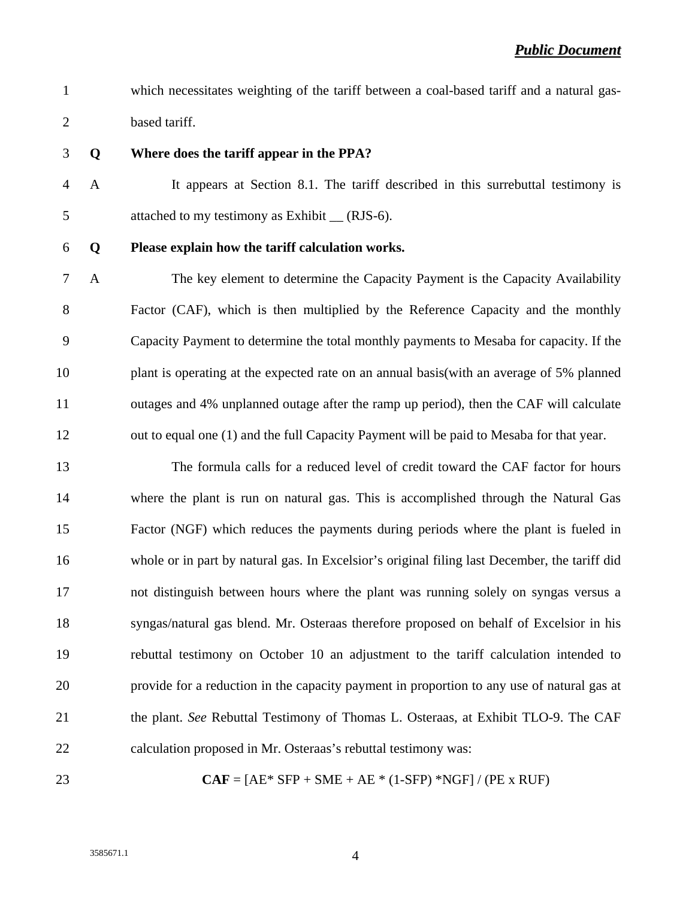1 which necessitates weighting of the tariff between a coal-based tariff and a natural gas-2 based tariff.

#### 3 **Q Where does the tariff appear in the PPA?**

- 4 A It appears at Section 8.1. The tariff described in this surrebuttal testimony is
- 

5 attached to my testimony as Exhibit \_\_ (RJS-6).

#### 6 **Q Please explain how the tariff calculation works.**

7 A The key element to determine the Capacity Payment is the Capacity Availability 8 Factor (CAF), which is then multiplied by the Reference Capacity and the monthly 9 Capacity Payment to determine the total monthly payments to Mesaba for capacity. If the 10 plant is operating at the expected rate on an annual basis(with an average of 5% planned 11 outages and 4% unplanned outage after the ramp up period), then the CAF will calculate 12 out to equal one (1) and the full Capacity Payment will be paid to Mesaba for that year.

13 The formula calls for a reduced level of credit toward the CAF factor for hours 14 where the plant is run on natural gas. This is accomplished through the Natural Gas 15 Factor (NGF) which reduces the payments during periods where the plant is fueled in 16 whole or in part by natural gas. In Excelsior's original filing last December, the tariff did 17 not distinguish between hours where the plant was running solely on syngas versus a 18 syngas/natural gas blend. Mr. Osteraas therefore proposed on behalf of Excelsior in his 19 rebuttal testimony on October 10 an adjustment to the tariff calculation intended to 20 provide for a reduction in the capacity payment in proportion to any use of natural gas at 21 the plant. *See* Rebuttal Testimony of Thomas L. Osteraas, at Exhibit TLO-9. The CAF 22 calculation proposed in Mr. Osteraas's rebuttal testimony was:

23 **CAF** =  $[AE*SFP + SME + AE* (1-SFP)*NGF] / (PE X RUF)$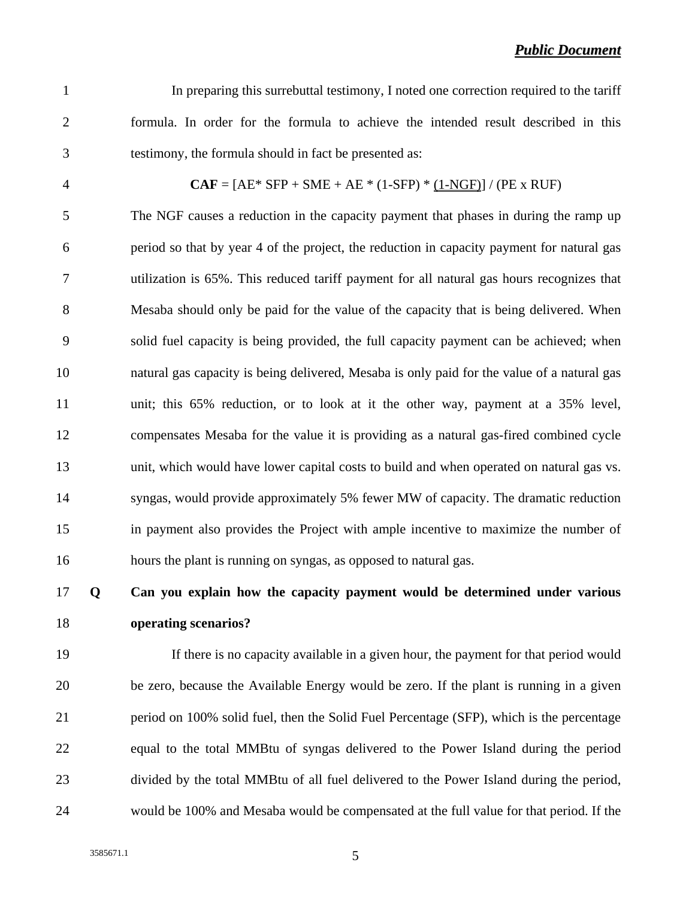1 In preparing this surrebuttal testimony, I noted one correction required to the tariff 2 formula. In order for the formula to achieve the intended result described in this 3 testimony, the formula should in fact be presented as:

4 **CAF** =  $[AE^* SFP + SME + AE^* (1-SFP) * (1-NGF)] / (PE \times RUF)$ 5 The NGF causes a reduction in the capacity payment that phases in during the ramp up 6 period so that by year 4 of the project, the reduction in capacity payment for natural gas 7 utilization is 65%. This reduced tariff payment for all natural gas hours recognizes that 8 Mesaba should only be paid for the value of the capacity that is being delivered. When 9 solid fuel capacity is being provided, the full capacity payment can be achieved; when 10 natural gas capacity is being delivered, Mesaba is only paid for the value of a natural gas 11 unit; this 65% reduction, or to look at it the other way, payment at a 35% level, 12 compensates Mesaba for the value it is providing as a natural gas-fired combined cycle 13 unit, which would have lower capital costs to build and when operated on natural gas vs. 14 syngas, would provide approximately 5% fewer MW of capacity. The dramatic reduction 15 in payment also provides the Project with ample incentive to maximize the number of 16 hours the plant is running on syngas, as opposed to natural gas.

## 17 **Q Can you explain how the capacity payment would be determined under various**  18 **operating scenarios?**

19 If there is no capacity available in a given hour, the payment for that period would 20 be zero, because the Available Energy would be zero. If the plant is running in a given 21 period on 100% solid fuel, then the Solid Fuel Percentage (SFP), which is the percentage 22 equal to the total MMBtu of syngas delivered to the Power Island during the period 23 divided by the total MMBtu of all fuel delivered to the Power Island during the period, 24 would be 100% and Mesaba would be compensated at the full value for that period. If the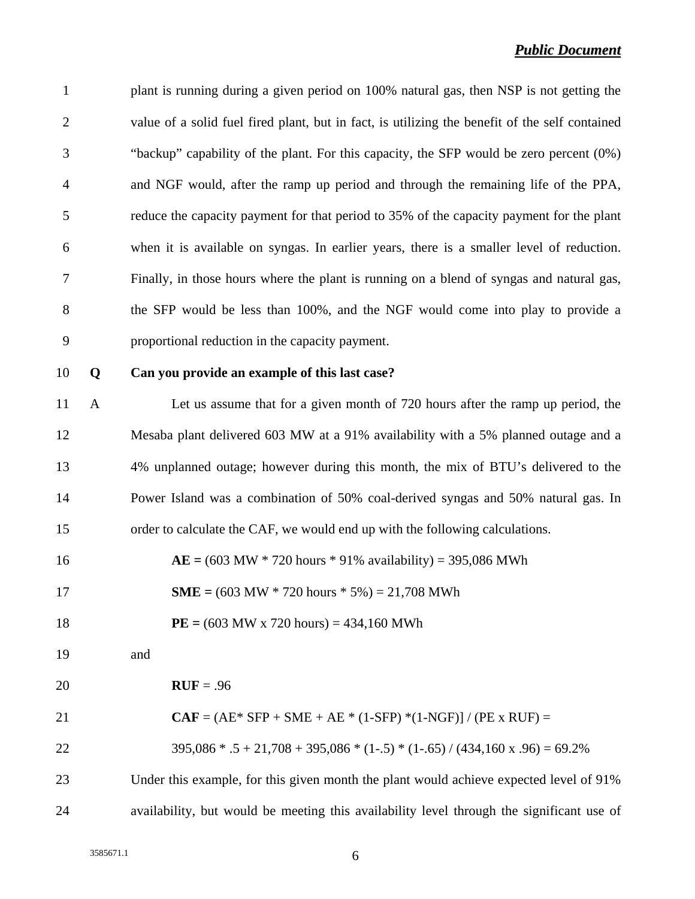1 plant is running during a given period on 100% natural gas, then NSP is not getting the 2 value of a solid fuel fired plant, but in fact, is utilizing the benefit of the self contained 3 "backup" capability of the plant. For this capacity, the SFP would be zero percent (0%) 4 and NGF would, after the ramp up period and through the remaining life of the PPA, 5 reduce the capacity payment for that period to 35% of the capacity payment for the plant 6 when it is available on syngas. In earlier years, there is a smaller level of reduction. 7 Finally, in those hours where the plant is running on a blend of syngas and natural gas, 8 the SFP would be less than 100%, and the NGF would come into play to provide a 9 proportional reduction in the capacity payment.

#### 10 **Q Can you provide an example of this last case?**

11 A Let us assume that for a given month of 720 hours after the ramp up period, the 12 Mesaba plant delivered 603 MW at a 91% availability with a 5% planned outage and a 13 4% unplanned outage; however during this month, the mix of BTU's delivered to the 14 Power Island was a combination of 50% coal-derived syngas and 50% natural gas. In 15 order to calculate the CAF, we would end up with the following calculations.

16 **AE =** (603 MW \* 720 hours \* 91% availability) = 395,086 MWh

17 **SME =** (603 MW \* 720 hours \* 5%) = 21,708 MWh

18 **PE** = 
$$
(603 \text{ MW} \times 720 \text{ hours}) = 434,160 \text{ MWh}
$$

19 and

| 20 | $RUF = .96$                                                                               |
|----|-------------------------------------------------------------------------------------------|
| 21 | $CAF = (AE* SFP + SME + AE * (1-SFP) * (1-NGF)) / (PE x RUF) =$                           |
| 22 | $395,086 * .5 + 21,708 + 395,086 * (1-.5) * (1-.65) / (434,160 \times .96) = 69.2\%$      |
| 23 | Under this example, for this given month the plant would achieve expected level of 91%    |
| 24 | availability, but would be meeting this availability level through the significant use of |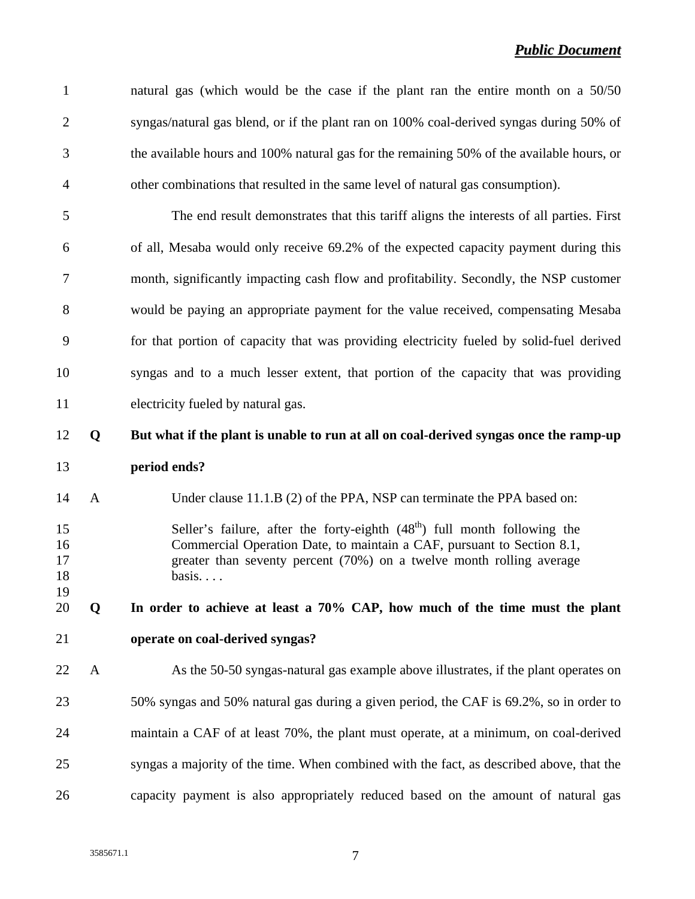1 natural gas (which would be the case if the plant ran the entire month on a 50/50 2 syngas/natural gas blend, or if the plant ran on 100% coal-derived syngas during 50% of 3 the available hours and 100% natural gas for the remaining 50% of the available hours, or 4 other combinations that resulted in the same level of natural gas consumption).

5 The end result demonstrates that this tariff aligns the interests of all parties. First 6 of all, Mesaba would only receive 69.2% of the expected capacity payment during this 7 month, significantly impacting cash flow and profitability. Secondly, the NSP customer 8 would be paying an appropriate payment for the value received, compensating Mesaba 9 for that portion of capacity that was providing electricity fueled by solid-fuel derived 10 syngas and to a much lesser extent, that portion of the capacity that was providing 11 electricity fueled by natural gas.

12 **Q But what if the plant is unable to run at all on coal-derived syngas once the ramp-up** 

13 **period ends?** 

14 A Under clause 11.1.B (2) of the PPA, NSP can terminate the PPA based on:

- $15$  Seller's failure, after the forty-eighth  $(48<sup>th</sup>)$  full month following the 16 Commercial Operation Date, to maintain a CAF, pursuant to Section 8.1, 17 greater than seventy percent (70%) on a twelve month rolling average 18 **basis...**
- 20 **Q In order to achieve at least a 70% CAP, how much of the time must the plant**
- 

19

#### 21 **operate on coal-derived syngas?**

22 A As the 50-50 syngas-natural gas example above illustrates, if the plant operates on 23 50% syngas and 50% natural gas during a given period, the CAF is 69.2%, so in order to 24 maintain a CAF of at least 70%, the plant must operate, at a minimum, on coal-derived 25 syngas a majority of the time. When combined with the fact, as described above, that the 26 capacity payment is also appropriately reduced based on the amount of natural gas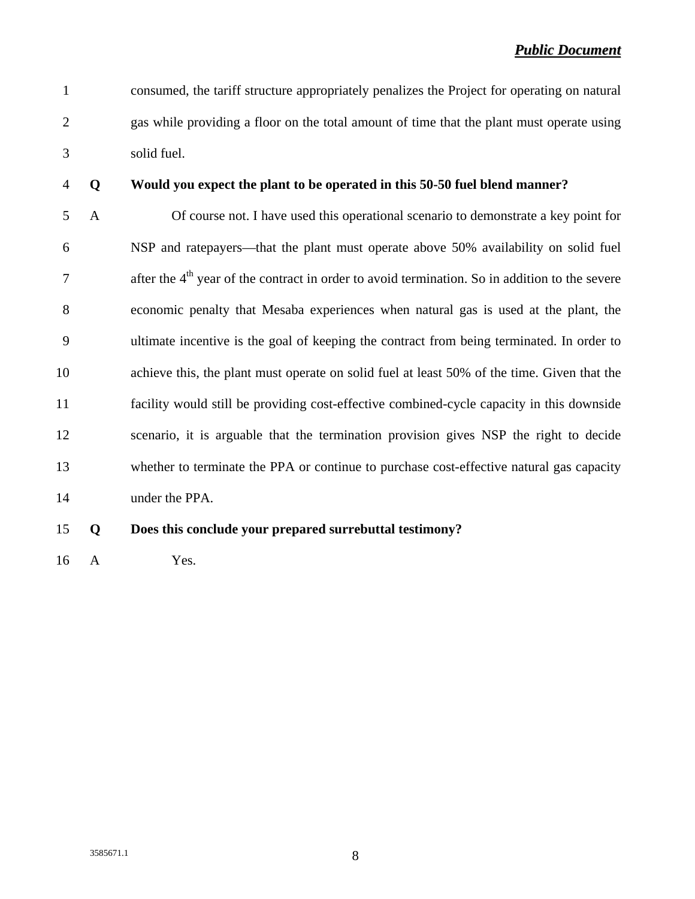1 consumed, the tariff structure appropriately penalizes the Project for operating on natural 2 gas while providing a floor on the total amount of time that the plant must operate using 3 solid fuel.

#### 4 **Q Would you expect the plant to be operated in this 50-50 fuel blend manner?**

5 AOf course not. I have used this operational scenario to demonstrate a key point for 6 NSP and ratepayers—that the plant must operate above 50% availability on solid fuel  $7 \text{ after the } 4^{\text{th}}$  year of the contract in order to avoid termination. So in addition to the severe 8 economic penalty that Mesaba experiences when natural gas is used at the plant, the 9 ultimate incentive is the goal of keeping the contract from being terminated. In order to 10 achieve this, the plant must operate on solid fuel at least 50% of the time. Given that the 11 facility would still be providing cost-effective combined-cycle capacity in this downside 12 scenario, it is arguable that the termination provision gives NSP the right to decide 13 whether to terminate the PPA or continue to purchase cost-effective natural gas capacity 14 under the PPA.

#### 15 **Q Does this conclude your prepared surrebuttal testimony?**

16 A Yes.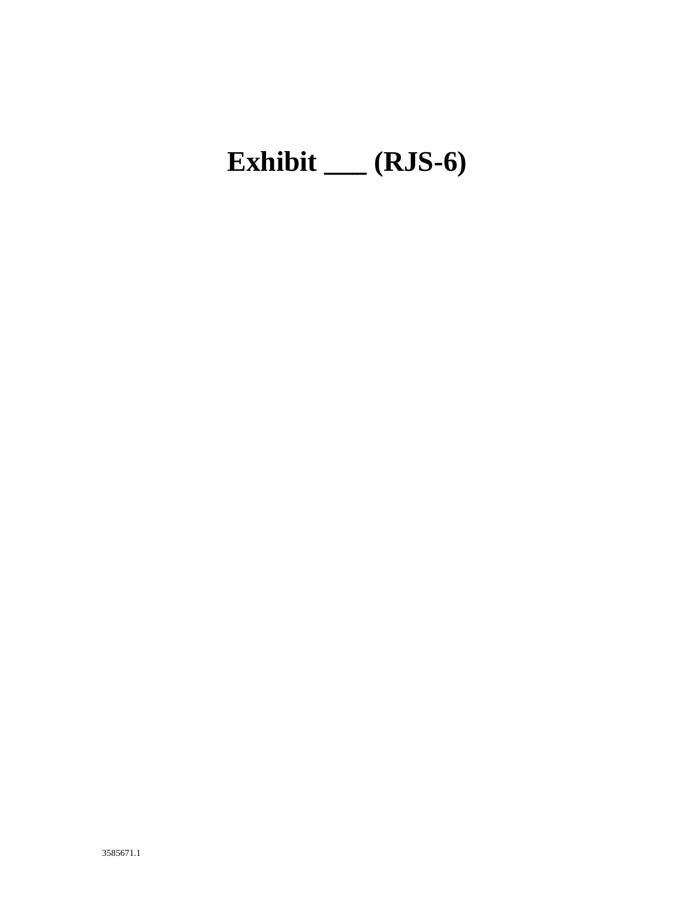# **Exhibit \_\_\_ (RJS-6)**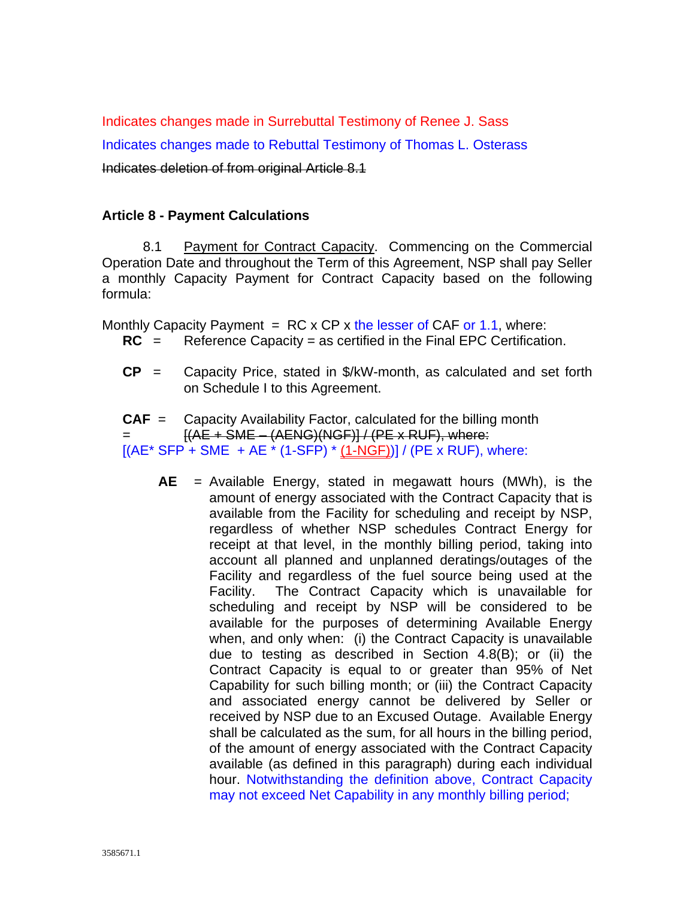Indicates changes made in Surrebuttal Testimony of Renee J. Sass Indicates changes made to Rebuttal Testimony of Thomas L. Osterass Indicates deletion of from original Article 8.1

#### **Article 8 - Payment Calculations**

8.1 Payment for Contract Capacity. Commencing on the Commercial Operation Date and throughout the Term of this Agreement, NSP shall pay Seller a monthly Capacity Payment for Contract Capacity based on the following formula:

Monthly Capacity Payment  $= RC \times CP \times the lesser of CAF or 1.1$ , where:

- **RC** = Reference Capacity = as certified in the Final EPC Certification.
- **CP** = Capacity Price, stated in \$/kW-month, as calculated and set forth on Schedule I to this Agreement.

**CAF** = Capacity Availability Factor, calculated for the billing month  $[(AE + SME - (AENG)(NGF)] / (PE \times RUF), where:$  $[(AE*SFP + SME + AE* (1-SFP)* (1-NGF))]/(PE \times RUF), where:$ 

**AE** = Available Energy, stated in megawatt hours (MWh), is the amount of energy associated with the Contract Capacity that is available from the Facility for scheduling and receipt by NSP, regardless of whether NSP schedules Contract Energy for receipt at that level, in the monthly billing period, taking into account all planned and unplanned deratings/outages of the Facility and regardless of the fuel source being used at the Facility. The Contract Capacity which is unavailable for scheduling and receipt by NSP will be considered to be available for the purposes of determining Available Energy when, and only when: (i) the Contract Capacity is unavailable due to testing as described in Section 4.8(B); or (ii) the Contract Capacity is equal to or greater than 95% of Net Capability for such billing month; or (iii) the Contract Capacity and associated energy cannot be delivered by Seller or received by NSP due to an Excused Outage. Available Energy shall be calculated as the sum, for all hours in the billing period, of the amount of energy associated with the Contract Capacity available (as defined in this paragraph) during each individual hour. Notwithstanding the definition above, Contract Capacity may not exceed Net Capability in any monthly billing period;